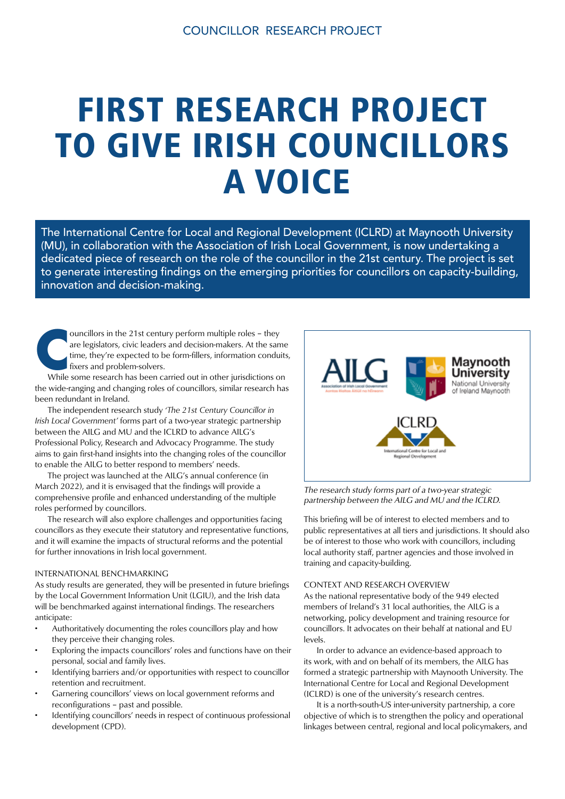# FIRST RESEARCH PROJECT TO GIVE IRISH COUNCILLORS A VOICE

The International Centre for Local and Regional Development (ICLRD) at Maynooth University (MU), in collaboration with the Association of Irish Local Government, is now undertaking a dedicated piece of research on the role of the councillor in the 21st century. The project is set to generate interesting findings on the emerging priorities for councillors on capacity-building, innovation and decision-making.

ouncillors in the 21st century perform multiple roles – they are legislators, civic leaders and decision-makers. At the same time, they're expected to be form-fillers, information conduits fixers and problem-solvers.<br>While are legislators, civic leaders and decision-makers. At the same time, they're expected to be form-fillers, information conduits, fixers and problem-solvers.

the wide-ranging and changing roles of councillors, similar research has been redundant in Ireland.

 The independent research study *'The 21st Century Councillor in Irish Local Government'* forms part of a two-year strategic partnership between the AILG and MU and the ICLRD to advance AILG's Professional Policy, Research and Advocacy Programme. The study aims to gain first-hand insights into the changing roles of the councillor to enable the AILG to better respond to members' needs.

 The project was launched at the AILG's annual conference (in March 2022), and it is envisaged that the findings will provide a comprehensive profile and enhanced understanding of the multiple roles performed by councillors.

 The research will also explore challenges and opportunities facing councillors as they execute their statutory and representative functions, and it will examine the impacts of structural reforms and the potential for further innovations in Irish local government.

### INTERNATIONAL BENCHMARKING

As study results are generated, they will be presented in future briefings by the Local Government Information Unit (LGIU), and the Irish data will be benchmarked against international findings. The researchers anticipate:

- Authoritatively documenting the roles councillors play and how they perceive their changing roles.
- Exploring the impacts councillors' roles and functions have on their personal, social and family lives.
- Identifying barriers and/or opportunities with respect to councillor retention and recruitment.
- Garnering councillors' views on local government reforms and reconfigurations – past and possible.
- Identifying councillors' needs in respect of continuous professional development (CPD).



The research study forms part of a two-year strategic partnership between the AILG and MU and the ICLRD.

This briefing will be of interest to elected members and to public representatives at all tiers and jurisdictions. It should also be of interest to those who work with councillors, including local authority staff, partner agencies and those involved in training and capacity-building.

### CONTEXT AND RESEARCH OVERVIEW

As the national representative body of the 949 elected members of Ireland's 31 local authorities, the AILG is a networking, policy development and training resource for councillors. It advocates on their behalf at national and EU levels.

 In order to advance an evidence-based approach to its work, with and on behalf of its members, the AILG has formed a strategic partnership with Maynooth University. The International Centre for Local and Regional Development (ICLRD) is one of the university's research centres.

 It is a north-south-US inter-university partnership, a core objective of which is to strengthen the policy and operational linkages between central, regional and local policymakers, and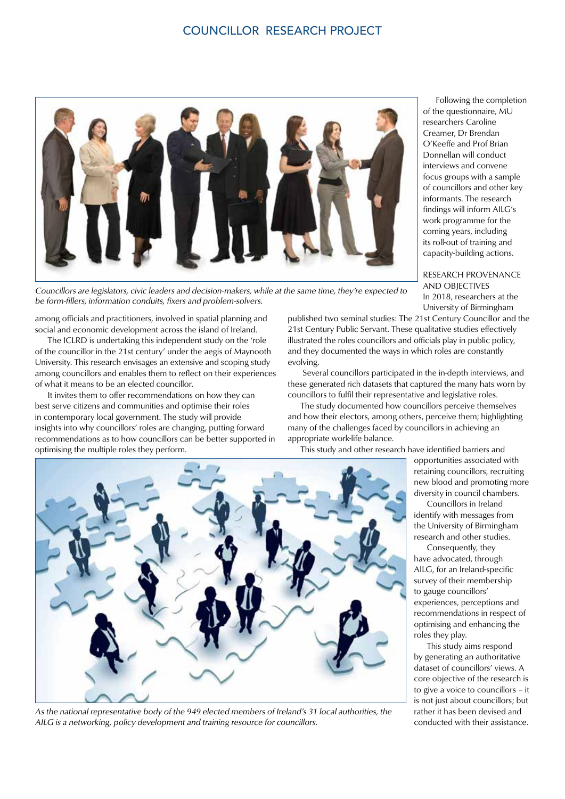# COUNCILLOR RESEARCH PROJECT



Councillors are legislators, civic leaders and decision-makers, while at the same time, they're expected to be form-fillers, information conduits, fixers and problem-solvers.

among officials and practitioners, involved in spatial planning and social and economic development across the island of Ireland.

 The ICLRD is undertaking this independent study on the 'role of the councillor in the 21st century' under the aegis of Maynooth University. This research envisages an extensive and scoping study among councillors and enables them to reflect on their experiences of what it means to be an elected councillor.

 It invites them to offer recommendations on how they can best serve citizens and communities and optimise their roles in contemporary local government. The study will provide insights into why councillors' roles are changing, putting forward recommendations as to how councillors can be better supported in optimising the multiple roles they perform.

 Following the completion of the questionnaire, MU researchers Caroline Creamer, Dr Brendan O'Keeffe and Prof Brian Donnellan will conduct interviews and convene focus groups with a sample of councillors and other key informants. The research findings will inform AILG's work programme for the coming years, including its roll-out of training and capacity-building actions.

RESEARCH PROVENANCE AND OBJECTIVES In 2018, researchers at the University of Birmingham

published two seminal studies: The 21st Century Councillor and the 21st Century Public Servant. These qualitative studies effectively illustrated the roles councillors and officials play in public policy, and they documented the ways in which roles are constantly evolving.

 Several councillors participated in the in-depth interviews, and these generated rich datasets that captured the many hats worn by councillors to fulfil their representative and legislative roles.

 The study documented how councillors perceive themselves and how their electors, among others, perceive them; highlighting many of the challenges faced by councillors in achieving an appropriate work-life balance.

This study and other research have identified barriers and

opportunities associated with retaining councillors, recruiting new blood and promoting more diversity in council chambers.

 Councillors in Ireland identify with messages from the University of Birmingham research and other studies.

 Consequently, they have advocated, through AILG, for an Ireland-specific survey of their membership to gauge councillors' experiences, perceptions and recommendations in respect of optimising and enhancing the roles they play.

 This study aims respond by generating an authoritative dataset of councillors' views. A core objective of the research is to give a voice to councillors – it is not just about councillors; but rather it has been devised and conducted with their assistance.



As the national representative body of the 949 elected members of Ireland's 31 local authorities, the AILG is a networking, policy development and training resource for councillors.